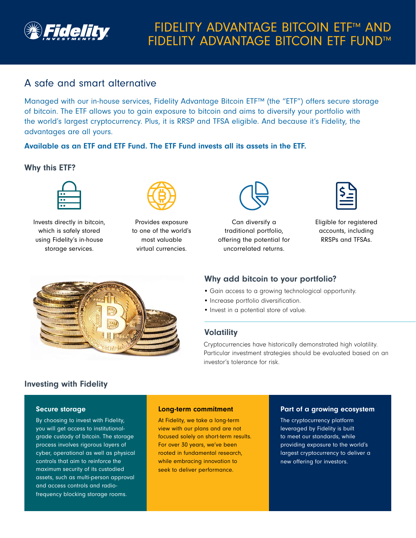

# A safe and smart alternative

Managed with our in-house services, Fidelity Advantage Bitcoin ETF™ (the "ETF") offers secure storage of bitcoin. The ETF allows you to gain exposure to bitcoin and aims to diversify your portfolio with the world's largest cryptocurrency. Plus, it is RRSP and TFSA eligible. And because it's Fidelity, the advantages are all yours.

## Available as an ETF and ETF Fund. The ETF Fund invests all its assets in the ETF.

### Why this ETF?



Invests directly in bitcoin, which is safely stored using Fidelity's in-house storage services.



Provides exposure to one of the world's most valuable virtual currencies.



Can diversify a traditional portfolio, offering the potential for uncorrelated returns.



Eligible for registered accounts, including RRSPs and TFSAs.



# Why add bitcoin to your portfolio?

- Gain access to a growing technological opportunity.
- Increase portfolio diversification.
- Invest in a potential store of value.

### **Volatility**

Cryptocurrencies have historically demonstrated high volatility. Particular investment strategies should be evaluated based on an investor's tolerance for risk.

# Investing with Fidelity

#### Secure storage

By choosing to invest with Fidelity, you will get access to institutionalgrade custody of bitcoin. The storage process involves rigorous layers of cyber, operational as well as physical controls that aim to reinforce the maximum security of its custodied assets, such as multi-person approval and access controls and radiofrequency blocking storage rooms.

#### Long-term commitment

At Fidelity, we take a long-term view with our plans and are not focused solely on short-term results. For over 30 years, we've been rooted in fundamental research, while embracing innovation to seek to deliver performance.

#### Part of a growing ecosystem

The cryptocurrency platform leveraged by Fidelity is built to meet our standards, while providing exposure to the world's largest cryptocurrency to deliver a new offering for investors.